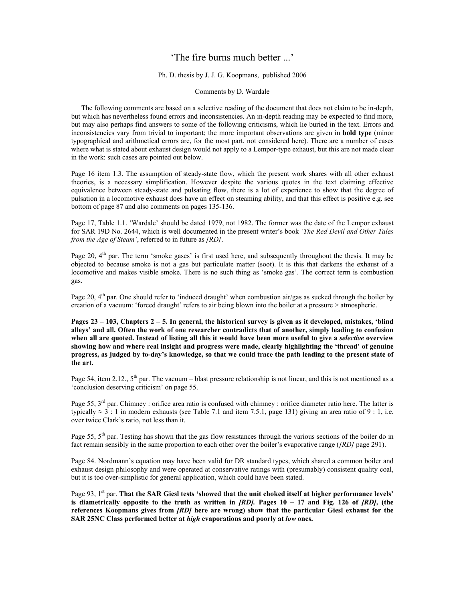# 'The fire burns much better ...'

## Ph. D. thesis by J. J. G. Koopmans, published 2006

### Comments by D. Wardale

The following comments are based on a selective reading of the document that does not claim to be in-depth, but which has nevertheless found errors and inconsistencies. An in-depth reading may be expected to find more, but may also perhaps find answers to some of the following criticisms, which lie buried in the text. Errors and inconsistencies vary from trivial to important; the more important observations are given in **bold type** (minor typographical and arithmetical errors are, for the most part, not considered here). There are a number of cases where what is stated about exhaust design would not apply to a Lempor-type exhaust, but this are not made clear in the work: such cases are pointed out below.

Page 16 item 1.3. The assumption of steady-state flow, which the present work shares with all other exhaust theories, is a necessary simplification. However despite the various quotes in the text claiming effective equivalence between steady-state and pulsating flow, there is a lot of experience to show that the degree of pulsation in a locomotive exhaust does have an effect on steaming ability, and that this effect is positive e.g. see bottom of page 87 and also comments on pages 135-136.

Page 17, Table 1.1. 'Wardale' should be dated 1979, not 1982. The former was the date of the Lempor exhaust for SAR 19D No. 2644, which is well documented in the present writer's book *'The Red Devil and Other Tales from the Age of Steam'*, referred to in future as *[RD]*.

Page 20,  $4<sup>th</sup>$  par. The term 'smoke gases' is first used here, and subsequently throughout the thesis. It may be objected to because smoke is not a gas but particulate matter (soot). It is this that darkens the exhaust of a locomotive and makes visible smoke. There is no such thing as 'smoke gas'. The correct term is combustion gas.

Page 20, 4<sup>th</sup> par. One should refer to 'induced draught' when combustion air/gas as sucked through the boiler by creation of a vacuum: 'forced draught' refers to air being blown into the boiler at a pressure > atmospheric.

**Pages 23 – 103, Chapters 2 – 5. In general, the historical survey is given as it developed, mistakes, 'blind alleys' and all. Often the work of one researcher contradicts that of another, simply leading to confusion when all are quoted. Instead of listing all this it would have been more useful to give a** *selective* **overview showing how and where real insight and progress were made, clearly highlighting the 'thread' of genuine progress, as judged by to-day's knowledge, so that we could trace the path leading to the present state of the art.** 

Page 54, item 2.12.,  $5<sup>th</sup>$  par. The vacuum – blast pressure relationship is not linear, and this is not mentioned as a 'conclusion deserving criticism' on page 55.

Page 55, 3<sup>rd</sup> par. Chimney : orifice area ratio is confused with chimney : orifice diameter ratio here. The latter is typically  $\approx$  3 : 1 in modern exhausts (see Table 7.1 and item 7.5.1, page 131) giving an area ratio of 9 : 1, i.e. over twice Clark's ratio, not less than it.

Page 55, 5<sup>th</sup> par. Testing has shown that the gas flow resistances through the various sections of the boiler do in fact remain sensibly in the same proportion to each other over the boiler's evaporative range (*[RD]* page 291).

Page 84. Nordmann's equation may have been valid for DR standard types, which shared a common boiler and exhaust design philosophy and were operated at conservative ratings with (presumably) consistent quality coal, but it is too over-simplistic for general application, which could have been stated.

Page 93, 1<sup>st</sup> par. **That the SAR Giesl tests 'showed that the unit choked itself at higher performance levels' is diametrically opposite to the truth as written in** *[RD].* **Pages 10 – 17 and Fig. 126 of** *[RD]***, (the references Koopmans gives from** *[RD]* **here are wrong) show that the particular Giesl exhaust for the SAR 25NC Class performed better at** *high* **evaporations and poorly at** *low* **ones.**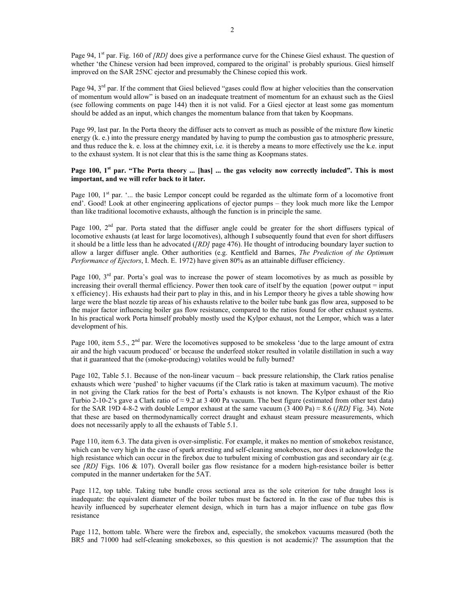Page 94, 1<sup>st</sup> par. Fig. 160 of *[RD]* does give a performance curve for the Chinese Giesl exhaust. The question of whether 'the Chinese version had been improved, compared to the original' is probably spurious. Giesl himself improved on the SAR 25NC ejector and presumably the Chinese copied this work.

Page 94, 3<sup>rd</sup> par. If the comment that Giesl believed "gases could flow at higher velocities than the conservation of momentum would allow" is based on an inadequate treatment of momentum for an exhaust such as the Giesl (see following comments on page 144) then it is not valid. For a Giesl ejector at least some gas momentum should be added as an input, which changes the momentum balance from that taken by Koopmans.

Page 99, last par. In the Porta theory the diffuser acts to convert as much as possible of the mixture flow kinetic energy (k. e.) into the pressure energy mandated by having to pump the combustion gas to atmospheric pressure, and thus reduce the k. e. loss at the chimney exit, i.e. it is thereby a means to more effectively use the k.e. input to the exhaust system. It is not clear that this is the same thing as Koopmans states.

#### Page 100, 1<sup>st</sup> par. "The Porta theory ... [has] ... the gas velocity now correctly included". This is most **important, and we will refer back to it later.**

Page 100, 1<sup>st</sup> par. '... the basic Lempor concept could be regarded as the ultimate form of a locomotive front end'. Good! Look at other engineering applications of ejector pumps – they look much more like the Lempor than like traditional locomotive exhausts, although the function is in principle the same.

Page 100,  $2<sup>nd</sup>$  par. Porta stated that the diffuser angle could be greater for the short diffusers typical of locomotive exhausts (at least for large locomotives), although I subsequently found that even for short diffusers it should be a little less than he advocated (*[RD]* page 476). He thought of introducing boundary layer suction to allow a larger diffuser angle. Other authorities (e.g. Kentfield and Barnes, *The Prediction of the Optimum Performance of Ejectors*, I. Mech. E. 1972) have given 80% as an attainable diffuser efficiency.

Page 100,  $3<sup>rd</sup>$  par. Porta's goal was to increase the power of steam locomotives by as much as possible by increasing their overall thermal efficiency. Power then took care of itself by the equation {power output = input x efficiency}. His exhausts had their part to play in this, and in his Lempor theory he gives a table showing how large were the blast nozzle tip areas of his exhausts relative to the boiler tube bank gas flow area, supposed to be the major factor influencing boiler gas flow resistance, compared to the ratios found for other exhaust systems. In his practical work Porta himself probably mostly used the Kylpor exhaust, not the Lempor, which was a later development of his.

Page 100, item 5.5., 2<sup>nd</sup> par. Were the locomotives supposed to be smokeless 'due to the large amount of extra air and the high vacuum produced' or because the underfeed stoker resulted in volatile distillation in such a way that it guaranteed that the (smoke-producing) volatiles would be fully burned?

Page 102, Table 5.1. Because of the non-linear vacuum – back pressure relationship, the Clark ratios penalise exhausts which were 'pushed' to higher vacuums (if the Clark ratio is taken at maximum vacuum). The motive in not giving the Clark ratios for the best of Porta's exhausts is not known. The Kylpor exhaust of the Rio Turbio 2-10-2's gave a Clark ratio of  $\approx$  9.2 at 3 400 Pa vacuum. The best figure (estimated from other test data) for the SAR 19D 4-8-2 with double Lempor exhaust at the same vacuum (3 400 Pa)  $\approx$  8.6 (*[RD]* Fig. 34). Note that these are based on thermodynamically correct draught and exhaust steam pressure measurements, which does not necessarily apply to all the exhausts of Table 5.1.

Page 110, item 6.3. The data given is over-simplistic. For example, it makes no mention of smokebox resistance, which can be very high in the case of spark arresting and self-cleaning smokeboxes, nor does it acknowledge the high resistance which can occur in the firebox due to turbulent mixing of combustion gas and secondary air (e.g. see *[RD]* Figs. 106 & 107). Overall boiler gas flow resistance for a modern high-resistance boiler is better computed in the manner undertaken for the 5AT.

Page 112, top table. Taking tube bundle cross sectional area as the sole criterion for tube draught loss is inadequate: the equivalent diameter of the boiler tubes must be factored in. In the case of flue tubes this is heavily influenced by superheater element design, which in turn has a major influence on tube gas flow resistance

Page 112, bottom table. Where were the firebox and, especially, the smokebox vacuums measured (both the BR5 and 71000 had self-cleaning smokeboxes, so this question is not academic)? The assumption that the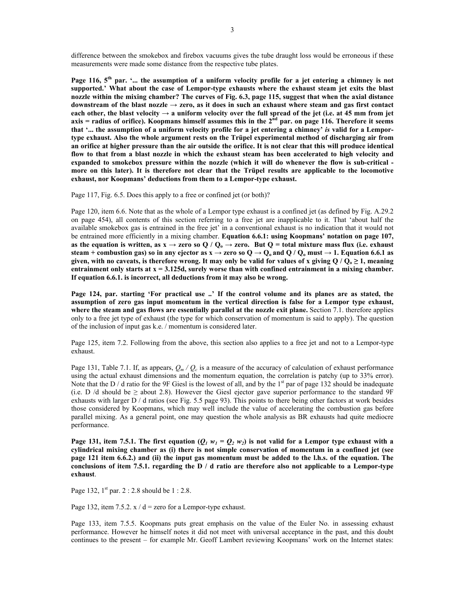difference between the smokebox and firebox vacuums gives the tube draught loss would be erroneous if these measurements were made some distance from the respective tube plates.

**Page 116, 5th par. '... the assumption of a uniform velocity profile for a jet entering a chimney is not supported.' What about the case of Lempor-type exhausts where the exhaust steam jet exits the blast nozzle within the mixing chamber? The curves of Fig. 6.3, page 115, suggest that when the axial distance**  downstream of the blast nozzle  $\rightarrow$  zero, as it does in such an exhaust where steam and gas first contact each other, the blast velocity  $\rightarrow$  a uniform velocity over the full spread of the jet (i.e. at 45 mm from jet **axis = radius of orifice). Koopmans himself assumes this in the 2nd par. on page 116. Therefore it seems that '... the assumption of a uniform velocity profile for a jet entering a chimney'** *is* **valid for a Lemportype exhaust. Also the whole argument rests on the Trüpel experimental method of discharging air from an orifice at higher pressure than the air outside the orifice. It is not clear that this will produce identical flow to that from a blast nozzle in which the exhaust steam has been accelerated to high velocity and expanded to smokebox pressure within the nozzle (which it will do whenever the flow is sub-critical more on this later). It is therefore not clear that the Trüpel results are applicable to the locomotive exhaust, nor Koopmans' deductions from them to a Lempor-type exhaust.**

Page 117, Fig. 6.5. Does this apply to a free or confined jet (or both)?

Page 120, item 6.6. Note that as the whole of a Lempor type exhaust is a confined jet (as defined by Fig. A.29.2 on page 454), all contents of this section referring to a free jet are inapplicable to it. That 'about half the available smokebox gas is entrained in the free jet' in a conventional exhaust is no indication that it would not be entrained more efficiently in a mixing chamber. **Equation 6.6.1: using Koopmans' notation on page 107, as the equation is written, as**  $x \rightarrow$  **zero so Q / Q<sub>o</sub>**  $\rightarrow$  **zero. But Q = total mixture mass flux (i.e. exhaust steam + combustion gas) so in any ejector as**  $x \rightarrow$  **zero so**  $Q \rightarrow Q_0$  **and**  $Q / Q_0$  **must**  $\rightarrow$  **1. Equation 6.6.1 as given, with no caveats, is therefore wrong. It may only be valid for values of x giving**  $Q / Q_0 \ge 1$ **, meaning entrainment only starts at x = 3.125d, surely worse than with confined entrainment in a mixing chamber. If equation 6.6.1. is incorrect, all deductions from it may also be wrong.** 

**Page 124, par. starting 'For practical use ..' If the control volume and its planes are as stated, the assumption of zero gas input momentum in the vertical direction is false for a Lempor type exhaust, where the steam and gas flows are essentially parallel at the nozzle exit plane.** Section 7.1. therefore applies only to a free jet type of exhaust (the type for which conservation of momentum is said to apply). The question of the inclusion of input gas k.e. / momentum is considered later.

Page 125, item 7.2. Following from the above, this section also applies to a free jet and not to a Lempor-type exhaust.

Page 131, Table 7.1. If, as appears,  $Q_m / Q_c$  is a measure of the accuracy of calculation of exhaust performance using the actual exhaust dimensions and the momentum equation, the correlation is patchy (up to 33% error). Note that the D / d ratio for the 9F Giesl is the lowest of all, and by the  $1<sup>st</sup>$  par of page 132 should be inadequate (i.e. D /d should be  $\geq$  about 2.8). However the Giesl ejector gave superior performance to the standard 9F exhausts with larger D / d ratios (see Fig. 5.5 page 93). This points to there being other factors at work besides those considered by Koopmans, which may well include the value of accelerating the combustion gas before parallel mixing. As a general point, one may question the whole analysis as BR exhausts had quite mediocre performance.

**Page 131, item 7.5.1. The first equation (** $Q_1 w_1 = Q_2 w_2$ **) is not valid for a Lempor type exhaust with a cylindrical mixing chamber as (i) there is not simple conservation of momentum in a confined jet (see page 121 item 6.6.2.) and (ii) the input gas momentum must be added to the l.h.s. of the equation. The conclusions of item 7.5.1. regarding the D / d ratio are therefore also not applicable to a Lempor-type exhaust**.

Page 132,  $1^{st}$  par. 2 : 2.8 should be 1 : 2.8.

Page 132, item 7.5.2.  $x / d$  = zero for a Lempor-type exhaust.

Page 133, item 7.5.5. Koopmans puts great emphasis on the value of the Euler No. in assessing exhaust performance. However he himself notes it did not meet with universal acceptance in the past, and this doubt continues to the present – for example Mr. Geoff Lambert reviewing Koopmans' work on the Internet states: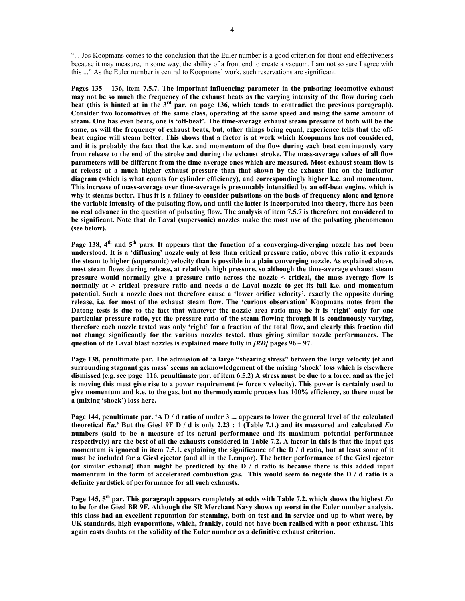"... Jos Koopmans comes to the conclusion that the Euler number is a good criterion for front-end effectiveness because it may measure, in some way, the ability of a front end to create a vacuum. I am not so sure I agree with this ..." As the Euler number is central to Koopmans' work, such reservations are significant.

**Pages 135 – 136, item 7.5.7. The important influencing parameter in the pulsating locomotive exhaust may not be so much the frequency of the exhaust beats as the varying intensity of the flow during each beat (this is hinted at in the 3rd par. on page 136, which tends to contradict the previous paragraph). Consider two locomotives of the same class, operating at the same speed and using the same amount of steam. One has even beats, one is 'off-beat'. The time-average exhaust steam pressure of both will be the**  same, as will the frequency of exhaust beats, but, other things being equal, experience tells that the off**beat engine will steam better. This shows that a factor is at work which Koopmans has not considered, and it is probably the fact that the k.e. and momentum of the flow during each beat continuously vary from release to the end of the stroke and during the exhaust stroke. The mass-average values of all flow parameters will be different from the time-average ones which are measured. Most exhaust steam flow is at release at a much higher exhaust pressure than that shown by the exhaust line on the indicator diagram (which is what counts for cylinder efficiency), and correspondingly higher k.e. and momentum. This increase of mass-average over time-average is presumably intensified by an off-beat engine, which is why it steams better. Thus it is a fallacy to consider pulsations on the basis of frequency alone and ignore the variable intensity of the pulsating flow, and until the latter is incorporated into theory, there has been no real advance in the question of pulsating flow. The analysis of item 7.5.7 is therefore not considered to be significant. Note that de Laval (supersonic) nozzles make the most use of the pulsating phenomenon (see below).** 

Page 138, 4<sup>th</sup> and 5<sup>th</sup> pars. It appears that the function of a converging-diverging nozzle has not been **understood. It is a 'diffusing' nozzle only at less than critical pressure ratio, above this ratio it expands the steam to higher (supersonic) velocity than is possible in a plain converging nozzle. As explained above, most steam flows during release, at relatively high pressure, so although the time-average exhaust steam pressure would normally give a pressure ratio across the nozzle < critical, the mass-average flow is normally at > critical pressure ratio and needs a de Laval nozzle to get its full k.e. and momentum potential. Such a nozzle does not therefore cause a 'lower orifice velocity', exactly the opposite during release, i.e. for most of the exhaust steam flow. The 'curious observation' Koopmans notes from the Datong tests is due to the fact that whatever the nozzle area ratio may be it is 'right' only for one particular pressure ratio, yet the pressure ratio of the steam flowing through it is continuously varying, therefore each nozzle tested was only 'right' for a fraction of the total flow, and clearly this fraction did not change significantly for the various nozzles tested, thus giving similar nozzle performances. The question of de Laval blast nozzles is explained more fully in** *[RD]* **pages 96 – 97.** 

**Page 138, penultimate par. The admission of 'a large "shearing stress" between the large velocity jet and surrounding stagnant gas mass' seems an acknowledgement of the mixing 'shock' loss which is elsewhere dismissed (e.g. see page 116, penultimate par. of item 6.5.2) A stress must be due to a force, and as the jet is moving this must give rise to a power requirement (= force x velocity). This power is certainly used to give momentum and k.e. to the gas, but no thermodynamic process has 100% efficiency, so there must be a (mixing 'shock') loss here.** 

**Page 144, penultimate par. 'A D / d ratio of under 3 ... appears to lower the general level of the calculated theoretical** *Eu***.' But the Giesl 9F D / d is only 2.23 : 1 (Table 7.1.) and its measured and calculated** *Eu* **numbers (said to be a measure of its actual performance and its maximum potential performance respectively) are the best of all the exhausts considered in Table 7.2. A factor in this is that the input gas momentum is ignored in item 7.5.1. explaining the significance of the D / d ratio, but at least some of it must be included for a Giesl ejector (and all in the Lempor). The better performance of the Giesl ejector (or similar exhaust) than might be predicted by the D / d ratio is because there is this added input momentum in the form of accelerated combustion gas. This would seem to negate the D / d ratio is a definite yardstick of performance for all such exhausts.** 

**Page 145, 5th par. This paragraph appears completely at odds with Table 7.2. which shows the highest** *Eu* **to be for the Giesl BR 9F. Although the SR Merchant Navy shows up worst in the Euler number analysis, this class had an excellent reputation for steaming, both on test and in service and up to what were, by UK standards, high evaporations, which, frankly, could not have been realised with a poor exhaust. This again casts doubts on the validity of the Euler number as a definitive exhaust criterion.**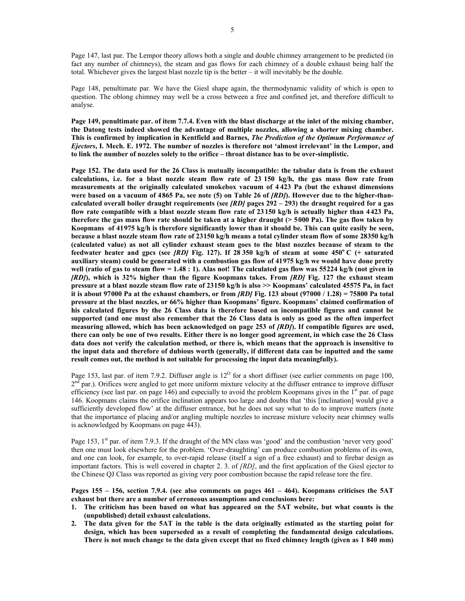Page 147, last par. The Lempor theory allows both a single and double chimney arrangement to be predicted (in fact any number of chimneys), the steam and gas flows for each chimney of a double exhaust being half the total. Whichever gives the largest blast nozzle tip is the better – it will inevitably be the double.

Page 148, penultimate par. We have the Giesl shape again, the thermodynamic validity of which is open to question. The oblong chimney may well be a cross between a free and confined jet, and therefore difficult to analyse.

**Page 149, penultimate par. of item 7.7.4. Even with the blast discharge at the inlet of the mixing chamber, the Datong tests indeed showed the advantage of multiple nozzles, allowing a shorter mixing chamber. This is confirmed by implication in Kentfield and Barnes,** *The Prediction of the Optimum Performance of Ejectors***, I. Mech. E. 1972. The number of nozzles is therefore not 'almost irrelevant' in the Lempor, and to link the number of nozzles solely to the orifice – throat distance has to be over-simplistic.** 

**Page 152. The data used for the 26 Class is mutually incompatible: the tabular data is from the exhaust calculations, i.e. for a blast nozzle steam flow rate of 23 150 kg/h, the gas mass flow rate from measurements at the originally calculated smokebox vacuum of 4 423 Pa (but the exhaust dimensions were based on a vacuum of 4865 Pa, see note (5) on Table 26 of** *[RD]***). However due to the higher-thancalculated overall boiler draught requirements (see** *[RD]* **pages 292 – 293) the draught required for a gas flow rate compatible with a blast nozzle steam flow rate of 23150 kg/h is actually higher than 4423 Pa, therefore the gas mass flow rate should be taken at a higher draught (> 5000 Pa). The gas flow taken by Koopmans of 41975 kg/h is therefore significantly lower than it should be. This can quite easily be seen, because a blast nozzle steam flow rate of 23 150 kg/h means a total cylinder steam flow of some 28350 kg/h (calculated value) as not all cylinder exhaust steam goes to the blast nozzles because of steam to the feedwater heater and gpcs (see** *[RD]* **Fig. 127). If 28 350 kg/h of steam at some 450<sup>o</sup> C (+ saturated auxiliary steam) could be generated with a combustion gas flow of 41975 kg/h we would have done pretty well (ratio of gas to steam flow = 1.48 : 1). Alas not! The calculated gas flow was 55224 kg/h (not given in**  *[RD]***), which is 32% higher than the figure Koopmans takes. From** *[RD]* **Fig. 127 the exhaust steam pressure at a blast nozzle steam flow rate of 23150 kg/h is also >> Koopmans' calculated 45575 Pa, in fact it is about 97000 Pa at the exhaust chambers, or from** *[RD]* **Fig. 123 about (97000 / 1.28) = 75800 Pa total pressure at the blast nozzles, or 66% higher than Koopmans' figure. Koopmans' claimed confirmation of his calculated figures by the 26 Class data is therefore based on incompatible figures and cannot be supported (and one must also remember that the 26 Class data is only as good as the often imperfect measuring allowed, which has been acknowledged on page 253 of** *[RD]***). If compatible figures are used, there can only be one of two results. Either there is no longer good agreement, in which case the 26 Class data does not verify the calculation method, or there is, which means that the approach is insensitive to the input data and therefore of dubious worth (generally, if different data can be inputted and the same result comes out, the method is not suitable for processing the input data meaningfully).** 

Page 153, last par. of item 7.9.2. Diffuser angle is  $12^{\circ}$  for a short diffuser (see earlier comments on page 100,  $2<sup>nd</sup>$  par.). Orifices were angled to get more uniform mixture velocity at the diffuser entrance to improve diffuser efficiency (see last par. on page 146) and especially to avoid the problem Koopmans gives in the  $1<sup>st</sup>$  par. of page 146. Koopmans claims the orifice inclination appears too large and doubts that 'this [inclination] would give a sufficiently developed flow' at the diffuser entrance, but he does not say what to do to improve matters (note that the importance of placing and/or angling multiple nozzles to increase mixture velocity near chimney walls is acknowledged by Koopmans on page 443).

Page 153,  $1<sup>st</sup>$  par. of item 7.9.3. If the draught of the MN class was 'good' and the combustion 'never very good' then one must look elsewhere for the problem. 'Over-draughting' can produce combustion problems of its own, and one can look, for example, to over-rapid release (itself a sign of a free exhaust) and to firebar design as important factors. This is well covered in chapter 2. 3. of *[RD]*, and the first application of the Giesl ejector to the Chinese QJ Class was reported as giving very poor combustion because the rapid release tore the fire.

#### **Pages 155 – 156, section 7.9.4. (see also comments on pages 461 – 464). Koopmans criticises the 5AT exhaust but there are a number of erroneous assumptions and conclusions here:**

- **1. The criticism has been based on what has appeared on the 5AT website, but what counts is the (unpublished) detail exhaust calculations.**
- **2. The data given for the 5AT in the table is the data originally estimated as the starting point for design, which has been superseded as a result of completing the fundamental design calculations. There is not much change to the data given except that no fixed chimney length (given as 1 840 mm)**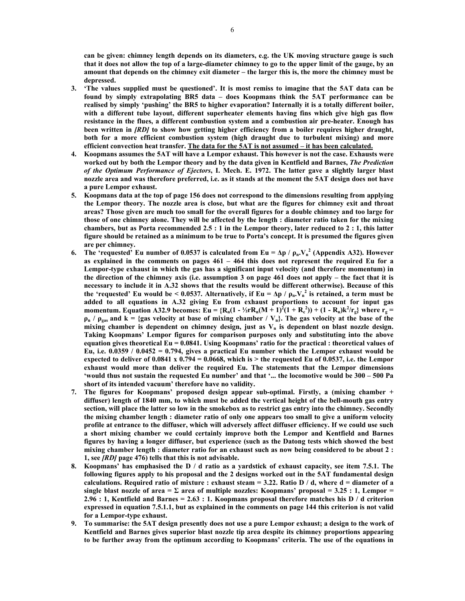**can be given: chimney length depends on its diameters, e.g. the UK moving structure gauge is such that it does not allow the top of a large-diameter chimney to go to the upper limit of the gauge, by an amount that depends on the chimney exit diameter – the larger this is, the more the chimney must be depressed.** 

- **3. 'The values supplied must be questioned'. It is most remiss to imagine that the 5AT data can be found by simply extrapolating BR5 data – does Koopmans think the 5AT performance can be realised by simply 'pushing' the BR5 to higher evaporation? Internally it is a totally different boiler, with a different tube layout, different superheater elements having fins which give high gas flow resistance in the flues, a different combustion system and a combustion air pre-heater. Enough has been written in** *[RD]* **to show how getting higher efficiency from a boiler requires higher draught, both for a more efficient combustion system (high draught due to turbulent mixing) and more efficient convection heat transfer. The data for the 5AT is not assumed – it has been calculated.**
- **4. Koopmans assumes the 5AT will have a Lempor exhaust. This however is not the case. Exhausts were worked out by both the Lempor theory and by the data given in Kentfield and Barnes,** *The Prediction of the Optimum Performance of Ejectors***, I. Mech. E. 1972. The latter gave a slightly larger blast nozzle area and was therefore preferred, i.e. as it stands at the moment the 5AT design does not have a pure Lempor exhaust.**
- **5. Koopmans data at the top of page 156 does not correspond to the dimensions resulting from applying the Lempor theory. The nozzle area is close, but what are the figures for chimney exit and throat areas? Those given are much too small for the overall figures for a double chimney and too large for those of one chimney alone. They will be affected by the length : diameter ratio taken for the mixing chambers, but as Porta recommended 2.5 : 1 in the Lempor theory, later reduced to 2 : 1, this latter figure should be retained as a minimum to be true to Porta's concept. It is presumed the figures given are per chimney.**
- **6. The 'requested' Eu number of 0.0537 is calculated from Eu =**  $\Delta p / \rho_n$ **. V<sub>n</sub><sup>2</sup> (Appendix A32). However as explained in the comments on pages 461 – 464 this does not represent the required Eu for a Lempor-type exhaust in which the gas has a significant input velocity (and therefore momentum) in the direction of the chimney axis (i.e. assumption 3 on page 461 does not apply – the fact that it is necessary to include it in A.32 shows that the results would be different otherwise). Because of this the 'requested' Eu would be < 0.0537. Alternatively, if Eu =**  $\Delta p / \rho_n$ **. V<sub>n</sub><sup>2</sup> is retained, a term must be added to all equations in A.32 giving Eu from exhaust proportions to account for input gas**  momentum. Equation A32.9 becomes:  $E$ **u** = { $R_n(1 - \frac{1}{2}rR_n(M + 1)^2(1 + R_c^2))$  + (1 -  $R_n$ )k<sup>2</sup>/ $r_g$ } where  $r_g$  =  $\rho_n$  /  $\rho_{\text{gas}}$  and k = {gas velocity at base of mixing chamber /  $V_n$ }. The gas velocity at the base of the mixing chamber is dependent on chimney design, just as  $V_n$  is dependent on blast nozzle design. **Taking Koopmans' Lempor figures for comparison purposes only and substituting into the above equation gives theoretical Eu = 0.0841. Using Koopmans' ratio for the practical : theoretical values of Eu, i.e. 0.0359 / 0.0452 = 0.794, gives a practical Eu number which the Lempor exhaust would be expected to deliver of 0.0841 x 0.794 = 0.0668, which is > the requested Eu of 0.0537, i.e. the Lempor exhaust would more than deliver the required Eu. The statements that the Lempor dimensions 'would thus not sustain the requested Eu number' and that '... the locomotive would be 300 – 500 Pa short of its intended vacuum' therefore have no validity.**
- **7. The figures for Koopmans' proposed design appear sub-optimal. Firstly, a (mixing chamber + diffuser) length of 1840 mm, to which must be added the vertical height of the bell-mouth gas entry section, will place the latter so low in the smokebox as to restrict gas entry into the chimney. Secondly the mixing chamber length : diameter ratio of only one appears too small to give a uniform velocity profile at entrance to the diffuser, which will adversely affect diffuser efficiency. If we could use such a short mixing chamber we could certainly improve both the Lempor and Kentfield and Barnes figures by having a longer diffuser, but experience (such as the Datong tests which showed the best mixing chamber length : diameter ratio for an exhaust such as now being considered to be about 2 : 1, see** *[RD]* **page 476) tells that this is not advisable.**
- **8. Koopmans' has emphasised the D / d ratio as a yardstick of exhaust capacity, see item 7.5.1. The following figures apply to his proposal and the 2 designs worked out in the 5AT fundamental design**  calculations. Required ratio of mixture : exhaust steam  $= 3.22$ . Ratio  $D / d$ , where  $d =$  diameter of a single blast nozzle of area  $=\Sigma$  area of multiple nozzles: Koopmans' proposal  $= 3.25 : 1$ , Lempor  $=$ **2.96 : 1, Kentfield and Barnes = 2.63 : 1. Koopmans proposal therefore matches his D / d criterion expressed in equation 7.5.1.1, but as explained in the comments on page 144 this criterion is not valid for a Lempor-type exhaust.**
- **9. To summarise: the 5AT design presently does not use a pure Lempor exhaust; a design to the work of Kentfield and Barnes gives superior blast nozzle tip area despite its chimney proportions appearing to be further away from the optimum according to Koopmans' criteria. The use of the equations in**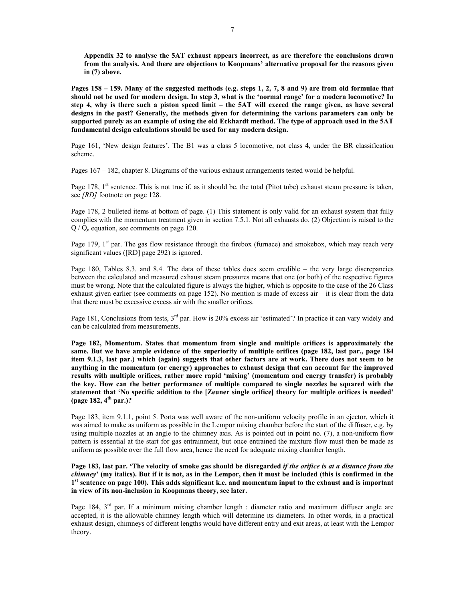**Appendix 32 to analyse the 5AT exhaust appears incorrect, as are therefore the conclusions drawn from the analysis. And there are objections to Koopmans' alternative proposal for the reasons given in (7) above.** 

**Pages 158 – 159. Many of the suggested methods (e.g. steps 1, 2, 7, 8 and 9) are from old formulae that should not be used for modern design. In step 3, what is the 'normal range' for a modern locomotive? In step 4, why is there such a piston speed limit – the 5AT will exceed the range given, as have several designs in the past? Generally, the methods given for determining the various parameters can only be supported purely as an example of using the old Eckhardt method. The type of approach used in the 5AT fundamental design calculations should be used for any modern design.** 

Page 161, 'New design features'. The B1 was a class 5 locomotive, not class 4, under the BR classification scheme.

Pages 167 – 182, chapter 8. Diagrams of the various exhaust arrangements tested would be helpful.

Page  $178$ ,  $1^{st}$  sentence. This is not true if, as it should be, the total (Pitot tube) exhaust steam pressure is taken, see *[RD]* footnote on page 128.

Page 178, 2 bulleted items at bottom of page. (1) This statement is only valid for an exhaust system that fully complies with the momentum treatment given in section 7.5.1. Not all exhausts do. (2) Objection is raised to the  $Q/Q<sub>o</sub>$  equation, see comments on page 120.

Page 179,  $1^{st}$  par. The gas flow resistance through the firebox (furnace) and smokebox, which may reach very significant values ([RD] page 292) is ignored.

Page 180, Tables 8.3. and 8.4. The data of these tables does seem credible – the very large discrepancies between the calculated and measured exhaust steam pressures means that one (or both) of the respective figures must be wrong. Note that the calculated figure is always the higher, which is opposite to the case of the 26 Class exhaust given earlier (see comments on page 152). No mention is made of excess air – it is clear from the data that there must be excessive excess air with the smaller orifices.

Page 181, Conclusions from tests, 3<sup>rd</sup> par. How is 20% excess air 'estimated'? In practice it can vary widely and can be calculated from measurements.

**Page 182, Momentum. States that momentum from single and multiple orifices is approximately the same. But we have ample evidence of the superiority of multiple orifices (page 182, last par., page 184 item 9.1.3, last par.) which (again) suggests that other factors are at work. There does not seem to be anything in the momentum (or energy) approaches to exhaust design that can account for the improved results with multiple orifices, rather more rapid 'mixing' (momentum and energy transfer) is probably the key. How can the better performance of multiple compared to single nozzles be squared with the statement that 'No specific addition to the [Zeuner single orifice] theory for multiple orifices is needed' (page 182, 4th par.)?** 

Page 183, item 9.1.1, point 5. Porta was well aware of the non-uniform velocity profile in an ejector, which it was aimed to make as uniform as possible in the Lempor mixing chamber before the start of the diffuser, e.g. by using multiple nozzles at an angle to the chimney axis. As is pointed out in point no. (7), a non-uniform flow pattern is essential at the start for gas entrainment, but once entrained the mixture flow must then be made as uniform as possible over the full flow area, hence the need for adequate mixing chamber length.

**Page 183, last par. 'The velocity of smoke gas should be disregarded** *if the orifice is at a distance from the chimney***' (my italics). But if it is not, as in the Lempor, then it must be included (this is confirmed in the 1st sentence on page 100). This adds significant k.e. and momentum input to the exhaust and is important in view of its non-inclusion in Koopmans theory, see later.** 

Page 184,  $3<sup>rd</sup>$  par. If a minimum mixing chamber length : diameter ratio and maximum diffuser angle are accepted, it is the allowable chimney length which will determine its diameters. In other words, in a practical exhaust design, chimneys of different lengths would have different entry and exit areas, at least with the Lempor theory.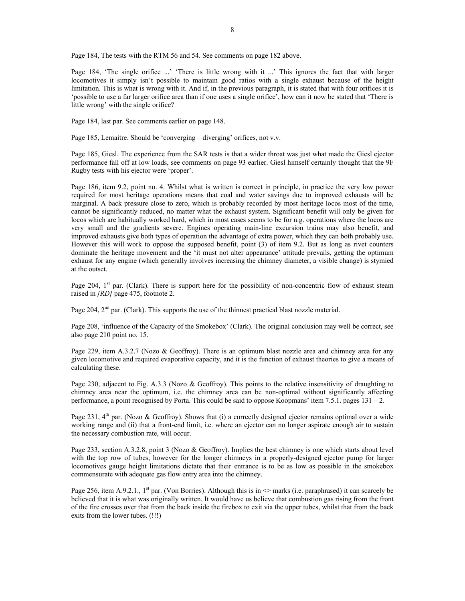Page 184, The tests with the RTM 56 and 54. See comments on page 182 above.

Page 184, 'The single orifice ...' 'There is little wrong with it ...' This ignores the fact that with larger locomotives it simply isn't possible to maintain good ratios with a single exhaust because of the height limitation. This is what is wrong with it. And if, in the previous paragraph, it is stated that with four orifices it is 'possible to use a far larger orifice area than if one uses a single orifice', how can it now be stated that 'There is little wrong' with the single orifice?

Page 184, last par. See comments earlier on page 148.

Page 185, Lemaitre. Should be 'converging – diverging' orifices, not v.v.

Page 185, Giesl. The experience from the SAR tests is that a wider throat was just what made the Giesl ejector performance fall off at low loads, see comments on page 93 earlier. Giesl himself certainly thought that the 9F Rugby tests with his ejector were 'proper'.

Page 186, item 9.2, point no. 4. Whilst what is written is correct in principle, in practice the very low power required for most heritage operations means that coal and water savings due to improved exhausts will be marginal. A back pressure close to zero, which is probably recorded by most heritage locos most of the time, cannot be significantly reduced, no matter what the exhaust system. Significant benefit will only be given for locos which are habitually worked hard, which in most cases seems to be for n.g. operations where the locos are very small and the gradients severe. Engines operating main-line excursion trains may also benefit, and improved exhausts give both types of operation the advantage of extra power, which they can both probably use. However this will work to oppose the supposed benefit, point (3) of item 9.2. But as long as rivet counters dominate the heritage movement and the 'it must not alter appearance' attitude prevails, getting the optimum exhaust for any engine (which generally involves increasing the chimney diameter, a visible change) is stymied at the outset.

Page 204,  $1<sup>st</sup>$  par. (Clark). There is support here for the possibility of non-concentric flow of exhaust steam raised in *[RD]* page 475, footnote 2.

Page 204,  $2<sup>nd</sup>$  par. (Clark). This supports the use of the thinnest practical blast nozzle material.

Page 208, 'influence of the Capacity of the Smokebox' (Clark). The original conclusion may well be correct, see also page 210 point no. 15.

Page 229, item A.3.2.7 (Nozo & Geoffroy). There is an optimum blast nozzle area and chimney area for any given locomotive and required evaporative capacity, and it is the function of exhaust theories to give a means of calculating these.

Page 230, adjacent to Fig. A.3.3 (Nozo & Geoffroy). This points to the relative insensitivity of draughting to chimney area near the optimum, i.e. the chimney area can be non-optimal without significantly affecting performance, a point recognised by Porta. This could be said to oppose Koopmans' item 7.5.1. pages 131 – 2.

Page 231,  $4<sup>th</sup>$  par. (Nozo & Geoffroy). Shows that (i) a correctly designed ejector remains optimal over a wide working range and (ii) that a front-end limit, i.e. where an ejector can no longer aspirate enough air to sustain the necessary combustion rate, will occur.

Page 233, section A.3.2.8, point 3 (Nozo & Geoffroy). Implies the best chimney is one which starts about level with the top row of tubes, however for the longer chimneys in a properly-designed ejector pump for larger locomotives gauge height limitations dictate that their entrance is to be as low as possible in the smokebox commensurate with adequate gas flow entry area into the chimney.

Page 256, item A.9.2.1., 1<sup>st</sup> par. (Von Borries). Although this is in  $\infty$  marks (i.e. paraphrased) it can scarcely be believed that it is what was originally written. It would have us believe that combustion gas rising from the front of the fire crosses over that from the back inside the firebox to exit via the upper tubes, whilst that from the back exits from the lower tubes. (!!!)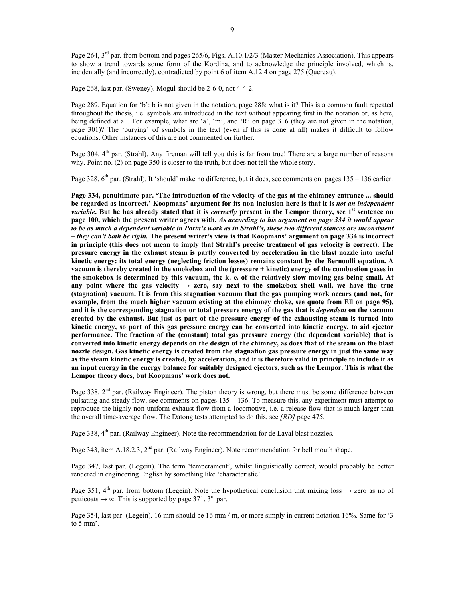Page 264,  $3<sup>rd</sup>$  par. from bottom and pages 265/6, Figs. A.10.1/2/3 (Master Mechanics Association). This appears to show a trend towards some form of the Kordina, and to acknowledge the principle involved, which is, incidentally (and incorrectly), contradicted by point 6 of item A.12.4 on page 275 (Quereau).

Page 268, last par. (Sweney). Mogul should be 2-6-0, not 4-4-2.

Page 289. Equation for 'b': b is not given in the notation, page 288: what is it? This is a common fault repeated throughout the thesis, i.e. symbols are introduced in the text without appearing first in the notation or, as here, being defined at all. For example, what are 'a', 'm', and 'R' on page 316 (they are not given in the notation, page 301)? The 'burying' of symbols in the text (even if this is done at all) makes it difficult to follow equations. Other instances of this are not commented on further.

Page 304, 4<sup>th</sup> par. (Strahl). Any fireman will tell you this is far from true! There are a large number of reasons why. Point no. (2) on page 350 is closer to the truth, but does not tell the whole story.

Page 328,  $6<sup>th</sup>$  par. (Strahl). It 'should' make no difference, but it does, see comments on pages 135 – 136 earlier.

**Page 334, penultimate par. 'The introduction of the velocity of the gas at the chimney entrance ... should be regarded as incorrect.' Koopmans' argument for its non-inclusion here is that it is** *not an independent variable***. But he has already stated that it is** *correctly* **present in the Lempor theory, see 1st sentence on page 100, which the present writer agrees with.** *As according to his argument on page 334 it would appear to be as much a dependent variable in Porta's work as in Strahl's, these two different stances are inconsistent – they can't both be right.* **The present writer's view is that Koopmans' argument on page 334 is incorrect in principle (this does not mean to imply that Strahl's precise treatment of gas velocity is correct). The pressure energy in the exhaust steam is partly converted by acceleration in the blast nozzle into useful kinetic energy: its total energy (neglecting friction losses) remains constant by the Bernoulli equation. A vacuum is thereby created in the smokebox and the (pressure + kinetic) energy of the combustion gases in the smokebox is determined by this vacuum, the k. e. of the relatively slow-moving gas being small. At**  any point where the gas velocity  $\rightarrow$  zero, say next to the smokebox shell wall, we have the true **(stagnation) vacuum. It is from this stagnation vacuum that the gas pumping work occurs (and not, for example, from the much higher vacuum existing at the chimney choke, see quote from Ell on page 95), and it is the corresponding stagnation or total pressure energy of the gas that is** *dependent* **on the vacuum created by the exhaust. But just as part of the pressure energy of the exhausting steam is turned into kinetic energy, so part of this gas pressure energy can be converted into kinetic energy, to aid ejector performance. The fraction of the (constant) total gas pressure energy (the dependent variable) that is converted into kinetic energy depends on the design of the chimney, as does that of the steam on the blast nozzle design. Gas kinetic energy is created from the stagnation gas pressure energy in just the same way as the steam kinetic energy is created, by acceleration, and it is therefore valid in principle to include it as an input energy in the energy balance for suitably designed ejectors, such as the Lempor. This is what the Lempor theory does, but Koopmans' work does not.** 

Page 338,  $2<sup>nd</sup>$  par. (Railway Engineer). The piston theory is wrong, but there must be some difference between pulsating and steady flow, see comments on pages 135 – 136. To measure this, any experiment must attempt to reproduce the highly non-uniform exhaust flow from a locomotive, i.e. a release flow that is much larger than the overall time-average flow. The Datong tests attempted to do this, see *[RD]* page 475.

Page 338, 4<sup>th</sup> par. (Railway Engineer). Note the recommendation for de Laval blast nozzles.

Page 343, item A.18.2.3,  $2<sup>nd</sup>$  par. (Railway Engineer). Note recommendation for bell mouth shape.

Page 347, last par. (Legein). The term 'temperament', whilst linguistically correct, would probably be better rendered in engineering English by something like 'characteristic'.

Page 351, 4<sup>th</sup> par. from bottom (Legein). Note the hypothetical conclusion that mixing loss  $\rightarrow$  zero as no of petticoats  $\rightarrow \infty$ . This is supported by page 371, 3<sup>rd</sup> par.

Page 354, last par. (Legein). 16 mm should be 16 mm / m, or more simply in current notation 16‰. Same for '3 to 5 mm'.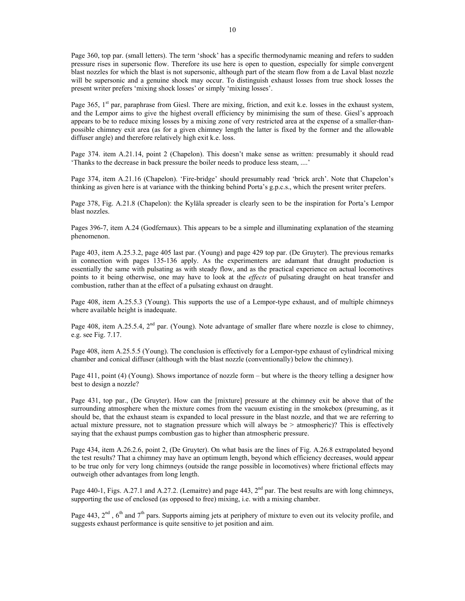Page 360, top par. (small letters). The term 'shock' has a specific thermodynamic meaning and refers to sudden pressure rises in supersonic flow. Therefore its use here is open to question, especially for simple convergent blast nozzles for which the blast is not supersonic, although part of the steam flow from a de Laval blast nozzle will be supersonic and a genuine shock may occur. To distinguish exhaust losses from true shock losses the present writer prefers 'mixing shock losses' or simply 'mixing losses'.

Page 365,  $1<sup>st</sup>$  par, paraphrase from Giesl. There are mixing, friction, and exit k.e. losses in the exhaust system, and the Lempor aims to give the highest overall efficiency by minimising the sum of these. Giesl's approach appears to be to reduce mixing losses by a mixing zone of very restricted area at the expense of a smaller-thanpossible chimney exit area (as for a given chimney length the latter is fixed by the former and the allowable diffuser angle) and therefore relatively high exit k.e. loss.

Page 374. item A.21.14, point 2 (Chapelon). This doesn't make sense as written: presumably it should read 'Thanks to the decrease in back pressure the boiler needs to produce less steam, ....'

Page 374, item A.21.16 (Chapelon). 'Fire-bridge' should presumably read 'brick arch'. Note that Chapelon's thinking as given here is at variance with the thinking behind Porta's g.p.c.s., which the present writer prefers.

Page 378, Fig. A.21.8 (Chapelon): the Kyläla spreader is clearly seen to be the inspiration for Porta's Lempor blast nozzles.

Pages 396-7, item A.24 (Godfernaux). This appears to be a simple and illuminating explanation of the steaming phenomenon.

Page 403, item A.25.3.2, page 405 last par. (Young) and page 429 top par. (De Gruyter). The previous remarks in connection with pages 135-136 apply. As the experimenters are adamant that draught production is essentially the same with pulsating as with steady flow, and as the practical experience on actual locomotives points to it being otherwise, one may have to look at the *effects* of pulsating draught on heat transfer and combustion, rather than at the effect of a pulsating exhaust on draught.

Page 408, item A.25.5.3 (Young). This supports the use of a Lempor-type exhaust, and of multiple chimneys where available height is inadequate.

Page 408, item A.25.5.4, 2<sup>nd</sup> par. (Young). Note advantage of smaller flare where nozzle is close to chimney, e.g. see Fig. 7.17.

Page 408, item A.25.5.5 (Young). The conclusion is effectively for a Lempor-type exhaust of cylindrical mixing chamber and conical diffuser (although with the blast nozzle (conventionally) below the chimney).

Page 411, point (4) (Young). Shows importance of nozzle form – but where is the theory telling a designer how best to design a nozzle?

Page 431, top par., (De Gruyter). How can the [mixture] pressure at the chimney exit be above that of the surrounding atmosphere when the mixture comes from the vacuum existing in the smokebox (presuming, as it should be, that the exhaust steam is expanded to local pressure in the blast nozzle, and that we are referring to actual mixture pressure, not to stagnation pressure which will always be > atmospheric)? This is effectively saying that the exhaust pumps combustion gas to higher than atmospheric pressure.

Page 434, item A.26.2.6, point 2, (De Gruyter). On what basis are the lines of Fig. A.26.8 extrapolated beyond the test results? That a chimney may have an optimum length, beyond which efficiency decreases, would appear to be true only for very long chimneys (outside the range possible in locomotives) where frictional effects may outweigh other advantages from long length.

Page 440-1, Figs. A.27.1 and A.27.2. (Lemaitre) and page 443,  $2<sup>nd</sup>$  par. The best results are with long chimneys, supporting the use of enclosed (as opposed to free) mixing, i.e. with a mixing chamber.

Page 443,  $2<sup>nd</sup>$ ,  $6<sup>th</sup>$  and  $7<sup>th</sup>$  pars. Supports aiming jets at periphery of mixture to even out its velocity profile, and suggests exhaust performance is quite sensitive to jet position and aim.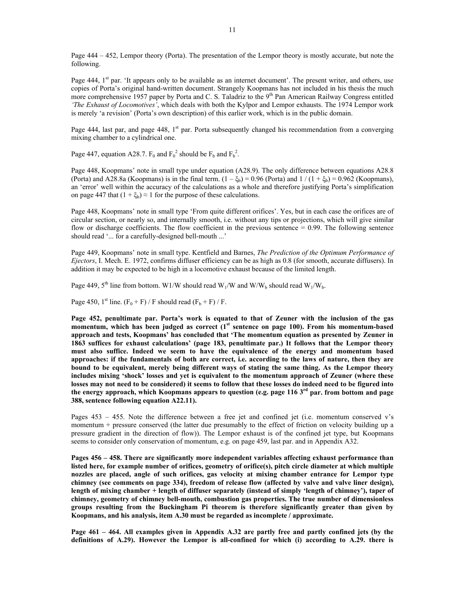Page 444 – 452, Lempor theory (Porta). The presentation of the Lempor theory is mostly accurate, but note the following.

Page 444, 1<sup>st</sup> par. 'It appears only to be available as an internet document'. The present writer, and others, use copies of Porta's original hand-written document. Strangely Koopmans has not included in his thesis the much more comprehensive 1957 paper by Porta and C. S. Taladriz to the 9<sup>th</sup> Pan American Railway Congress entitled *'The Exhaust of Locomotives'*, which deals with both the Kylpor and Lempor exhausts. The 1974 Lempor work is merely 'a revision' (Porta's own description) of this earlier work, which is in the public domain.

Page 444, last par, and page 448, 1<sup>st</sup> par. Porta subsequently changed his recommendation from a converging mixing chamber to a cylindrical one.

Page 447, equation A28.7.  $F_0$  and  $F_0^2$  should be  $F_b$  and  $F_b^2$ .

Page 448, Koopmans' note in small type under equation (A28.9). The only difference between equations A28.8 (Porta) and A28.8a (Koopmans) is in the final term.  $(1 - \xi_b) = 0.96$  (Porta) and  $1/(1 + \xi_b) = 0.962$  (Koopmans), an 'error' well within the accuracy of the calculations as a whole and therefore justifying Porta's simplification on page 447 that  $(1 + \xi_b) \approx 1$  for the purpose of these calculations.

Page 448, Koopmans' note in small type 'From quite different orifices'. Yes, but in each case the orifices are of circular section, or nearly so, and internally smooth, i.e. without any tips or projections, which will give similar flow or discharge coefficients. The flow coefficient in the previous sentence  $= 0.99$ . The following sentence should read '... for a carefully-designed bell-mouth ...'

Page 449, Koopmans' note in small type. Kentfield and Barnes, *The Prediction of the Optimum Performance of Ejectors*, I. Mech. E. 1972, confirms diffuser efficiency can be as high as 0.8 (for smooth, accurate diffusers). In addition it may be expected to be high in a locomotive exhaust because of the limited length.

Page 449, 5<sup>th</sup> line from bottom. W1/W should read W<sub>1</sub>/W and W/W<sub>b</sub> should read W<sub>1</sub>/W<sub>b</sub>.

Page 450, 1<sup>st</sup> line.  $(F_0 + F)$  / F should read  $(F_b + F)$  / F.

**Page 452, penultimate par. Porta's work is equated to that of Zeuner with the inclusion of the gas momentum, which has been judged as correct (1st sentence on page 100). From his momentum-based approach and tests, Koopmans' has concluded that 'The momentum equation as presented by Zeuner in 1863 suffices for exhaust calculations' (page 183, penultimate par.) It follows that the Lempor theory must also suffice. Indeed we seem to have the equivalence of the energy and momentum based approaches: if the fundamentals of both are correct, i.e. according to the laws of nature, then they are bound to be equivalent, merely being different ways of stating the same thing. As the Lempor theory includes mixing 'shock' losses and yet is equivalent to the momentum approach of Zeuner (where these losses may not need to be considered) it seems to follow that these losses do indeed need to be figured into the energy approach, which Koopmans appears to question (e.g. page 116 3rd par. from bottom and page 388, sentence following equation A22.11).** 

Pages 453 – 455. Note the difference between a free jet and confined jet (i.e. momentum conserved v's momentum + pressure conserved (the latter due presumably to the effect of friction on velocity building up a pressure gradient in the direction of flow)). The Lempor exhaust is of the confined jet type, but Koopmans seems to consider only conservation of momentum, e.g. on page 459, last par. and in Appendix A32.

**Pages 456 – 458. There are significantly more independent variables affecting exhaust performance than listed here, for example number of orifices, geometry of orifice(s), pitch circle diameter at which multiple nozzles are placed, angle of such orifices, gas velocity at mixing chamber entrance for Lempor type chimney (see comments on page 334), freedom of release flow (affected by valve and valve liner design), length of mixing chamber + length of diffuser separately (instead of simply 'length of chimney'), taper of chimney, geometry of chimney bell-mouth, combustion gas properties. The true number of dimensionless groups resulting from the Buckingham Pi theorem is therefore significantly greater than given by Koopmans, and his analysis, item A.30 must be regarded as incomplete / approximate.** 

**Page 461 – 464. All examples given in Appendix A.32 are partly free and partly confined jets (by the definitions of A.29). However the Lempor is all-confined for which (i) according to A.29. there is**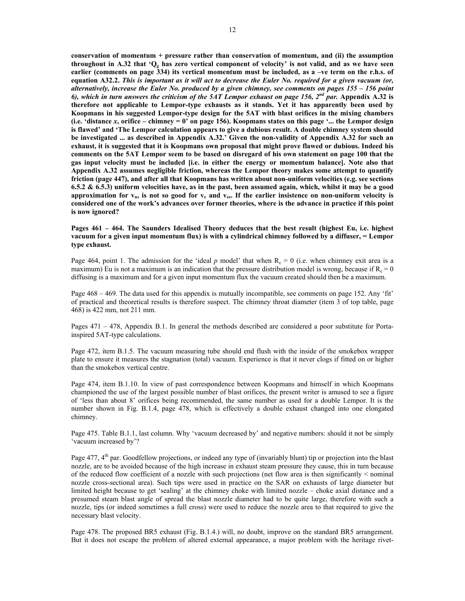**conservation of momentum + pressure rather than conservation of momentum, and (ii) the assumption**  throughout in A.32 that 'Q<sub>p</sub> has zero vertical component of velocity' is not valid, and as we have seen **earlier (comments on page 334) its vertical momentum must be included, as a –ve term on the r.h.s. of equation A32.2.** *This is important as it will act to decrease the Euler No. required for a given vacuum (or, alternatively, increase the Euler No. produced by a given chimney, see comments on pages 155 – 156 point 6), which in turn answers the criticism of the 5AT Lempor exhaust on page 156, 2nd par.* **Appendix A.32 is therefore not applicable to Lempor-type exhausts as it stands. Yet it has apparently been used by Koopmans in his suggested Lempor-type design for the 5AT with blast orifices in the mixing chambers (i.e. 'distance** *x***, orifice – chimney = 0' on page 156). Koopmans states on this page '... the Lempor design is flawed' and 'The Lempor calculation appears to give a dubious result. A double chimney system should be investigated ... as described in Appendix A.32.' Given the non-validity of Appendix A.32 for such an exhaust, it is suggested that it is Koopmans own proposal that might prove flawed or dubious. Indeed his comments on the 5AT Lempor seem to be based on disregard of his own statement on page 100 that the gas input velocity must be included [i.e. in either the energy or momentum balance]. Note also that Appendix A.32 assumes negligible friction, whereas the Lempor theory makes some attempt to quantify friction (page 447), and after all that Koopmans has written about non-uniform velocities (e.g. see sections 6.5.2 & 6.5.3) uniform velocities have, as in the past, been assumed again, which, whilst it may be a good**  approximation for  $v_n$ , is not so good for  $v_e$  and  $v_{es}$ . If the earlier insistence on non-uniform velocity is **considered one of the work's advances over former theories, where is the advance in practice if this point is now ignored?**

**Pages 461 – 464. The Saunders Idealised Theory deduces that the best result (highest Eu, i.e. highest vacuum for a given input momentum flux) is with a cylindrical chimney followed by a diffuser, = Lempor type exhaust.** 

Page 464, point 1. The admission for the 'ideal p model' that when  $R_c = 0$  (i.e. when chimney exit area is a maximum) Eu is not a maximum is an indication that the pressure distribution model is wrong, because if  $R_c = 0$ diffusing is a maximum and for a given input momentum flux the vacuum created should then be a maximum.

Page 468 – 469. The data used for this appendix is mutually incompatible, see comments on page 152. Any 'fit' of practical and theoretical results is therefore suspect. The chimney throat diameter (item 3 of top table, page 468) is 422 mm, not 211 mm.

Pages 471 – 478, Appendix B.1. In general the methods described are considered a poor substitute for Portainspired 5AT-type calculations.

Page 472, item B.1.5. The vacuum measuring tube should end flush with the inside of the smokebox wrapper plate to ensure it measures the stagnation (total) vacuum. Experience is that it never clogs if fitted on or higher than the smokebox vertical centre.

Page 474, item B.1.10. In view of past correspondence between Koopmans and himself in which Koopmans championed the use of the largest possible number of blast orifices, the present writer is amused to see a figure of 'less than about 8' orifices being recommended, the same number as used for a double Lempor. It is the number shown in Fig. B.1.4, page 478, which is effectively a double exhaust changed into one elongated chimney.

Page 475. Table B.1.1, last column. Why 'vacuum decreased by' and negative numbers: should it not be simply 'vacuum increased by'?

Page 477, 4<sup>th</sup> par. Goodfellow projections, or indeed any type of (invariably blunt) tip or projection into the blast nozzle, are to be avoided because of the high increase in exhaust steam pressure they cause, this in turn because of the reduced flow coefficient of a nozzle with such projections (net flow area is then significantly < nominal nozzle cross-sectional area). Such tips were used in practice on the SAR on exhausts of large diameter but limited height because to get 'sealing' at the chimney choke with limited nozzle – choke axial distance and a presumed steam blast angle of spread the blast nozzle diameter had to be quite large, therefore with such a nozzle, tips (or indeed sometimes a full cross) were used to reduce the nozzle area to that required to give the necessary blast velocity.

Page 478. The proposed BR5 exhaust (Fig. B.1.4.) will, no doubt, improve on the standard BR5 arrangement. But it does not escape the problem of altered external appearance, a major problem with the heritage rivet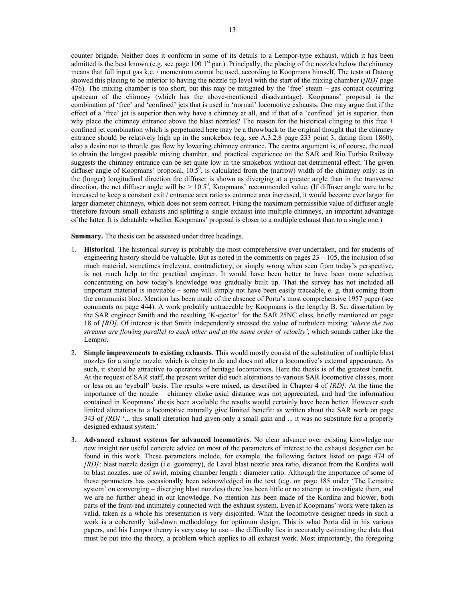counter brigade. Neither does it conform in some of its details to a Lempor-type exhaust, which it has been admitted is the best known (e.g. see page 100  $1<sup>st</sup>$  par.). Principally, the placing of the nozzles below the chimney means that full input gas k.e. / momentum cannot be used, according to Koopmans himself. The tests at Datong showed this placing to be inferior to having the nozzle tip level with the start of the mixing chamber (*[RD]* page 476). The mixing chamber is too short, but this may be mitigated by the 'free' steam – gas contact occurring upstream of the chimney (which has the above-mentioned disadvantage). Koopmans' proposal is the combination of 'free' and 'confined' jets that is used in 'normal' locomotive exhausts. One may argue that if the effect of a 'free' jet is superior then why have a chimney at all, and if that of a 'confined' jet is superior, then why place the chimney entrance above the blast nozzles? The reason for the historical clinging to this free + confined jet combination which is perpetuated here may be a throwback to the original thought that the chimney entrance should be relatively high up in the smokebox (e.g. see A.3.2.8 page 233 point 3, dating from 1860), also a desire not to throttle gas flow by lowering chimney entrance. The contra argument is, of course, the need to obtain the longest possible mixing chamber, and practical experience on the SAR and Rio Turbio Railway suggests the chimney entrance can be set quite low in the smokebox without net detrimental effect. The given diffuser angle of Koopmans' proposal,  $10.\overline{5}^0$ , is calculated from the (narrow) width of the chimney only: as in the (longer) longitudinal direction the diffuser is shown as diverging at a greater angle than in the transverse direction, the net diffuser angle will be  $> 10.5^{\circ}$ , Koopmans' recommended value. (If diffuser angle were to be increased to keep a constant exit / entrance area ratio as entrance area increased, it would become ever larger for larger diameter chimneys, which does not seem correct. Fixing the maximum permissible value of diffuser angle therefore favours small exhausts and splitting a single exhaust into multiple chimneys, an important advantage of the latter. It is debatable whether Koopmans' proposal is closer to a multiple exhaust than to a single one.)

**Summary.** The thesis can be assessed under three headings.

- 1. **Historical**. The historical survey is probably the most comprehensive ever undertaken, and for students of engineering history should be valuable. But as noted in the comments on pages 23 – 105, the inclusion of so much material, sometimes irrelevant, contradictory, or simply wrong when seen from today's perspective, is not much help to the practical engineer. It would have been better to have been more selective, concentrating on how today's knowledge was gradually built up. That the survey has not included all important material is inevitable – some will simply not have been easily traceable, e. g. that coming from the communist bloc. Mention has been made of the absence of Porta's most comprehensive 1957 paper (see comments on page 444). A work probably untraceable by Koopmans is the lengthy B. Sc. dissertation by the SAR engineer Smith and the resulting 'K-ejector' for the SAR 25NC class, briefly mentioned on page 18 of *[RD].* Of interest is that Smith independently stressed the value of turbulent mixing *'where the two streams are flowing parallel to each other and at the same order of velocity'*, which sounds rather like the Lempor.
- 2. **Simple improvements to existing exhausts**. This would mostly consist of the substitution of multiple blast nozzles for a single nozzle, which is cheap to do and does not alter a locomotive's external appearance. As such, it should be attractive to operators of heritage locomotives. Here the thesis is of the greatest benefit. At the request of SAR staff, the present writer did such alterations to various SAR locomotive classes, more or less on an 'eyeball' basis. The results were mixed, as described in Chapter 4 of *[RD].* At the time the importance of the nozzle – chimney choke axial distance was not appreciated, and had the information contained in Koopmans' thesis been available the results would certainly have been better. However such limited alterations to a locomotive naturally give limited benefit: as written about the SAR work on page 343 of *[RD]* '... this small alteration had given only a small gain and ... it was no substitute for a properly designed exhaust system.'
- 3. **Advanced exhaust systems for advanced locomotives**. No clear advance over existing knowledge nor new insight nor useful concrete advice on most of the parameters of interest to the exhaust designer can be found in this work. These parameters include, for example, the following factors listed on page 474 of *[RD]*: blast nozzle design (i.e. geometry), de Laval blast nozzle area ratio, distance from the Kordina wall to blast nozzles, use of swirl, mixing chamber length : diameter ratio. Although the importance of some of these parameters has occasionally been acknowledged in the text (e.g. on page 185 under 'The Lemaitre system' on converging – diverging blast nozzles) there has been little or no attempt to investigate them, and we are no further ahead in our knowledge. No mention has been made of the Kordina and blower, both parts of the front-end intimately connected with the exhaust system. Even if Koopmans' work were taken as valid, taken as a whole his presentation is very disjointed. What the locomotive designer needs in such a work is a coherently laid-down methodology for optimum design. This is what Porta did in his various papers, and his Lempor theory is very easy to use – the difficulty lies in accurately estimating the data that must be put into the theory, a problem which applies to all exhaust work. Most importantly, the foregoing